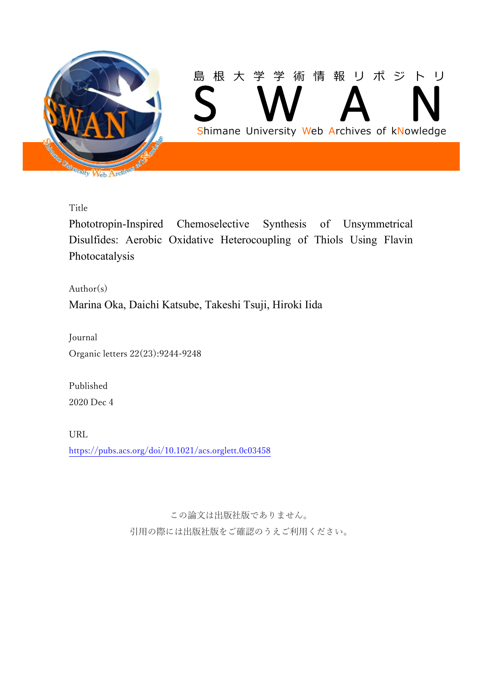

Title

Phototropin-Inspired Chemoselective Synthesis of Unsymmetrical Disulfides: Aerobic Oxidative Heterocoupling of Thiols Using Flavin Photocatalysis

 $Author(s)$ Marina Oka, Daichi Katsube, Takeshi Tsuji, Hiroki Iida

Journal Organic letters 22(23):9244-9248

Published 2020 Dec 4

URL <https://pubs.acs.org/doi/10.1021/acs.orglett.0c03458>

> この論文は出版社版でありません。 引用の際には出版社版をご確認のうえご利用ください。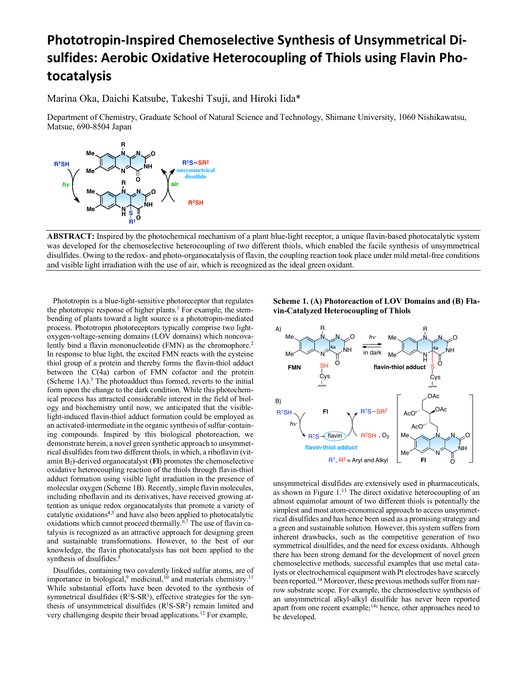# **Phototropin-Inspired Chemoselective Synthesis of Unsymmetrical Disulfides: Aerobic Oxidative Heterocoupling of Thiols using Flavin Photocatalysis**

Marina Oka, Daichi Katsube, Takeshi Tsuji, and Hiroki Iida\*

Department of Chemistry, Graduate School of Natural Science and Technology, Shimane University, 1060 Nishikawatsu, Matsue, 690-8504 Japan



**ABSTRACT:** Inspired by the photochemical mechanism of a plant blue-light receptor, a unique flavin-based photocatalytic system was developed for the chemoselective heterocoupling of two different thiols, which enabled the facile synthesis of unsymmetrical disulfides. Owing to the redox- and photo-organocatalysis of flavin, the coupling reaction took place under mild metal-free conditions and visible light irradiation with the use of air, which is recognized as the ideal green oxidant.

 Phototropin is a blue-light-sensitive photoreceptor that regulates the phototropic response of higher plants.<sup>1</sup> For example, the stembending of plants toward a light source is a phototropin-mediated process. Phototropin photoreceptors typically comprise two lightoxygen-voltage-sensing domains (LOV domains) which noncovalently bind a flavin mononucleotide (FMN) as the chromophore.<sup>2</sup> In response to blue light, the excited FMN reacts with the cysteine thiol group of a protein and thereby forms the flavin-thiol adduct between the C(4a) carbon of FMN cofactor and the protein (Scheme 1A).3 The photoadduct thus formed, reverts to the initial form upon the change to the dark condition. While this photochemical process has attracted considerable interest in the field of biology and biochemistry until now, we anticipated that the visiblelight-induced flavin-thiol adduct formation could be employed as an activated-intermediate in the organic synthesis of sulfur-containing compounds. Inspired by this biological photoreaction, we demonstrate herein, a novel green synthetic approach to unsymmetrical disulfides from two different thiols, in which, a riboflavin (vitamin  $B_2$ )-derived organocatalyst  $(FI)$  promotes the chemoselective oxidative heterocoupling reaction of the thiols through flavin-thiol adduct formation using visible light irradiation in the presence of molecular oxygen (Scheme 1B). Recently, simple flavin molecules, including riboflavin and its derivatives, have received growing attention as unique redox organocatalysts that promote a variety of catalytic oxidations4,5 and have also been applied to photocatalytic oxidations which cannot proceed thermally.<sup>6,7</sup> The use of flavin catalysis is recognized as an attractive approach for designing green and sustainable transformations. However, to the best of our knowledge, the flavin photocatalysis has not been applied to the synthesis of disulfides.<sup>8</sup>

 Disulfides, containing two covalently linked sulfur atoms, are of importance in biological, $9$  medicinal, $10$  and materials chemistry.<sup>11</sup> While substantial efforts have been devoted to the synthesis of symmetrical disulfides  $(R<sup>1</sup>S-SR<sup>1</sup>)$ , effective strategies for the synthesis of unsymmetrical disulfides  $(R<sup>1</sup>S-SR<sup>2</sup>)$  remain limited and very challenging despite their broad applications.12 For example,

# **Scheme 1. (A) Photoreaction of LOV Domains and (B) Flavin-Catalyzed Heterocoupling of Thiols**



unsymmetrical disulfides are extensively used in pharmaceuticals, as shown in Figure 1.13 The direct oxidative heterocoupling of an almost equimolar amount of two different thiols is potentially the simplest and most atom-economical approach to access unsymmetrical disulfides and has hence been used as a promising strategy and a green and sustainable solution. However, this system suffers from inherent drawbacks, such as the competitive generation of two symmetrical disulfides, and the need for excess oxidants. Although there has been strong demand for the development of novel green chemoselective methods, successful examples that use metal catalysts or electrochemical equipment with Pt electrodes have scarcely been reported.<sup>14</sup> Moreover, these previous methods suffer from narrow substrate scope. For example, the chemoselective synthesis of an unsymmetrical alkyl-alkyl disulfide has never been reported apart from one recent example;14c hence, other approaches need to be developed.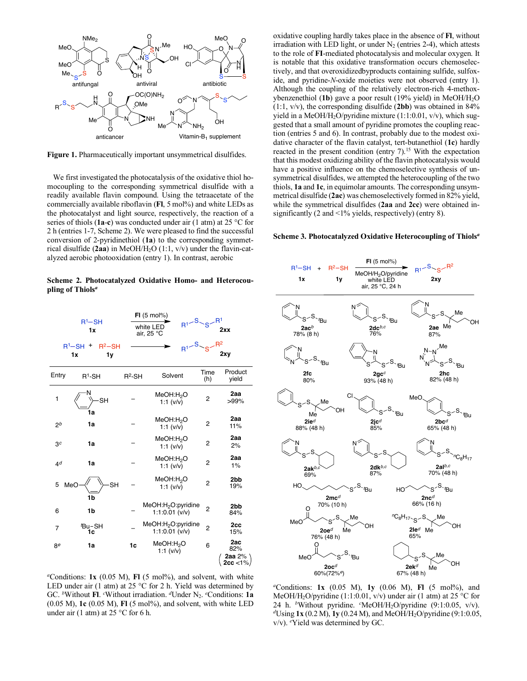

**Figure 1.** Pharmaceutically important unsymmetrical disulfides.

 We first investigated the photocatalysis of the oxidative thiol homocoupling to the corresponding symmetrical disulfide with a readily available flavin compound. Using the tetraacetate of the commercially available riboflavin (FI, 5 mol%) and white LEDs as the photocatalyst and light source, respectively, the reaction of a series of thiols (**1a**-**c**) was conducted under air (1 atm) at 25 °C for 2 h (entries 1-7, Scheme 2). We were pleased to find the successful conversion of 2-pyridinethiol (**1a**) to the corresponding symmetrical disulfide (**2aa**) in MeOH/H2O (1:1, v/v) under the flavin-catalyzed aerobic photooxidation (entry 1). In contrast, aerobic

**Scheme 2. Photocatalyzed Oxidative Homo- and Heterocoupling of Thiols***<sup>a</sup>*



*<sup>a</sup>*Conditions: **1x** (0.05 M), **Fl** (5 mol%), and solvent, with white LED under air (1 atm) at 25 °C for 2 h. Yield was determined by GC. *<sup>b</sup>* Without **Fl**. *<sup>c</sup>* Without irradiation. *<sup>d</sup>*Under N2. *<sup>e</sup>* Conditions: **1a** (0.05 M), **1c** (0.05 M), **Fl** (5 mol%), and solvent, with white LED under air (1 atm) at 25  $\degree$ C for 6 h.

oxidative coupling hardly takes place in the absence of **Fl**, without irradiation with LED light, or under  $N_2$  (entries 2-4), which attests to the role of **FI**-mediated photocatalysis and molecular oxygen. It is notable that this oxidative transformation occurs chemoselectively, and that overoxidizedbyproducts containing sulfide, sulfoxide, and pyridine-*N*-oxide moieties were not observed (entry 1). Although the coupling of the relatively electron-rich 4-methoxybenzenethiol (**1b**) gave a poor result (19% yield) in MeOH/H2O (1:1, v/v), the corresponding disulfide (**2bb**) was obtained in 84% yield in a MeOH/H2O/pyridine mixture (1:1:0.01, v/v), which suggested that a small amount of pyridine promotes the coupling reaction (entries 5 and 6). In contrast, probably due to the modest oxidative character of the flavin catalyst, tert-butanethiol (**1c**) hardly reacted in the present condition (entry 7).<sup>15</sup> With the expectation that this modest oxidizing ability of the flavin photocatalysis would have a positive influence on the chemoselective synthesis of unsymmetrical disulfides, we attempted the heterocoupling of the two thiols, **1a** and **1c**, in equimolar amounts. The corresponding unsymmetrical disulfide (**2ac**) was chemoselectively formed in 82% yield, while the symmetrical disulfides (**2aa** and **2cc**) were obtained insignificantly (2 and <1% yields, respectively) (entry 8).

## **Scheme 3. Photocatalyzed Oxidative Heterocoupling of Thiols***<sup>a</sup>*



*<sup>a</sup>*Conditions: **1x** (0.05 M), **1y** (0.06 M), **Fl** (5 mol%), and MeOH/H2O/pyridine (1:1:0.01, v/v) under air (1 atm) at 25 °C for 24 h. *<sup>b</sup>*Without pyridine. *<sup>c</sup>* MeOH/H2O/pyridine (9:1:0.05, v/v). *<sup>d</sup>*Using **1x** (0.2 M), **1y** (0.24 M), and MeOH/H2O/pyridine (9:1:0.05, v/v). *<sup>e</sup>* Yield was determined by GC.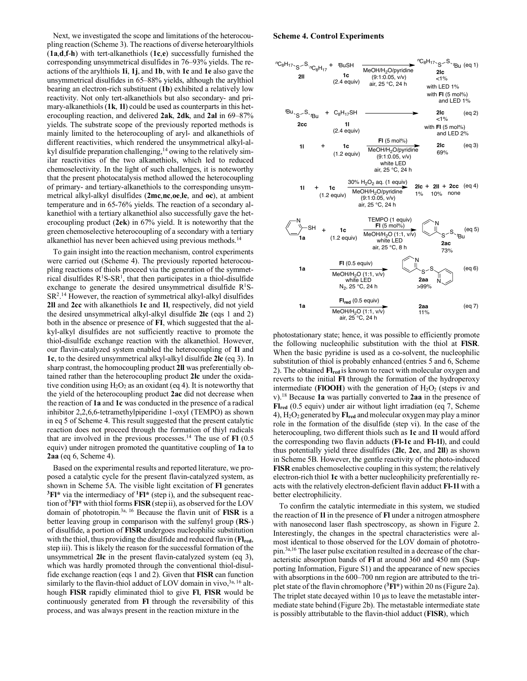Next, we investigated the scope and limitations of the heterocoupling reaction (Scheme 3). The reactions of diverse heteroarylthiols (**1a**,**d**,**f**-**h**) with tert-alkanethiols (**1c**,**e**) successfully furnished the corresponding unsymmetrical disulfides in 76–93% yields. The reactions of the arylthiols **1i**, **1j**, and **1b**, with **1c** and **1e** also gave the unsymmetrical disulfides in 65–88% yields, although the arylthiol bearing an electron-rich substituent (**1b**) exhibited a relatively low reactivity. Not only tert-alkanethiols but also secondary- and primary-alkanethiols (**1k**, **1l**) could be used as counterparts in this heterocoupling reaction, and delivered **2ak**, **2dk**, and **2al** in 69–87% yields. The substrate scope of the previously reported methods is mainly limited to the heterocoupling of aryl- and alkanethiols of different reactivities, which rendered the unsymmetrical alkyl-alkyl disulfide preparation challenging,<sup>14</sup> owing to the relatively similar reactivities of the two alkanethiols, which led to reduced chemoselectivity. In the light of such challenges, it is noteworthy that the present photocatalysis method allowed the heterocoupling of primary- and tertiary-alkanethiols to the corresponding unsymmetrical alkyl-alkyl disulfides (**2mc**,**nc**,**oe**,**le**, and **oc**), at ambient temperature and in 65-76% yields. The reaction of a secondary alkanethiol with a tertiary alkanethiol also successfully gave the heterocoupling product (**2ek**) in 67% yield. It is noteworthy that the green chemoselective heterocoupling of a secondary with a tertiary alkanethiol has never been achieved using previous methods.<sup>14</sup>

 To gain insight into the reaction mechanism, control experiments were carried out (Scheme 4). The previously reported heterocoupling reactions of thiols proceed via the generation of the symmetrical disulfides  $R<sup>1</sup>S-SR<sup>1</sup>$ , that then participates in a thiol-disulfide exchange to generate the desired unsymmetrical disulfide  $R<sup>1</sup>S-$ SR2 . <sup>14</sup> However, the reaction of symmetrical alkyl-alkyl disulfides **2ll** and **2cc** with alkanethiols **1c** and **1l**, respectively, did not yield the desired unsymmetrical alkyl-alkyl disulfide **2lc** (eqs 1 and 2) both in the absence or presence of **FI**, which suggested that the alkyl-alkyl disulfides are not sufficiently reactive to promote the thiol-disulfide exchange reaction with the alkanethiol. However, our flavin-catalyzed system enabled the heterocoupling of **1l** and **1c**, to the desired unsymmetrical alkyl-alkyl disulfide **2lc** (eq 3). In sharp contrast, the homocoupling product **2ll** was preferentially obtained rather than the heterocoupling product **2lc** under the oxidative condition using  $H_2O_2$  as an oxidant (eq 4). It is noteworthy that the yield of the heterocoupling product **2ac** did not decrease when the reaction of **1a** and **1c** was conducted in the presence of a radical inhibitor 2,2,6,6-tetramethylpiperidine 1-oxyl (TEMPO) as shown in eq 5 of Scheme 4. This result suggested that the present catalytic reaction does not proceed through the formation of thiyl radicals that are involved in the previous processes.14 The use of **Fl** (0.5 equiv) under nitrogen promoted the quantitative coupling of **1a** to **2aa** (eq 6, Scheme 4).

 Based on the experimental results and reported literature, we proposed a catalytic cycle for the present flavin-catalyzed system, as shown in Scheme 5A. The visible light excitation of **Fl** generates **3Fl\*** via the intermediacy of **1Fl\*** (step i), and the subsequent reaction of **3Fl\*** with thiol forms **FlSR** (step ii), as observed for the LOV domain of phototropin.3a, 16 Because the flavin unit of **FlSR** is a better leaving group in comparison with the sulfenyl group (**RS**-) of disulfide, a portion of **FlSR** undergoes nucleophilic substitution with the thiol, thus providing the disulfide and reduced flavin (**Flred**, step iii). This is likely the reason for the successful formation of the unsymmetrical **2lc** in the present flavin-catalyzed system (eq 3), which was hardly promoted through the conventional thiol-disulfide exchange reaction (eqs 1 and 2). Given that **FlSR** can function similarly to the flavin-thiol adduct of LOV domain in vivo.<sup>3a, 16</sup> although **FlSR** rapidly eliminated thiol to give **Fl**, **FlSR** would be continuously generated from **Fl** through the reversibility of this process, and was always present in the reaction mixture in the

#### **Scheme 4. Control Experiments**



photostationary state; hence, it was possible to efficiently promote the following nucleophilic substitution with the thiol at **FlSR**. When the basic pyridine is used as a co-solvent, the nucleophilic substitution of thiol is probably enhanced (entries 5 and 6, Scheme 2). The obtained **Flred** is known to react with molecular oxygen and reverts to the initial **Fl** through the formation of the hydroperoxy intermediate (**FIOOH**) with the generation of  $H_2O_2$  (steps iv and v).18 Because **1a** was partially converted to **2aa** in the presence of **Flred** (0.5 equiv) under air without light irradiation (eq 7, Scheme 4), H2O2 generated by **Flred** and molecular oxygen may play a minor role in the formation of the disulfide (step vi). In the case of the heterocoupling, two different thiols such as **1c** and **1l** would afford the corresponding two flavin adducts (**Fl-1c** and **Fl-1l**), and could thus potentially yield three disulfides (**2lc**, **2cc**, and **2ll**) as shown in Scheme 5B. However, the gentle reactivity of the photo-induced **FlSR** enables chemoselective coupling in this system; the relatively electron-rich thiol **1c** with a better nucleophilicity preferentially reacts with the relatively electron-deficient flavin adduct **Fl-1l** with a better electrophilicity.

 To confirm the catalytic intermediate in this system, we studied the reaction of **1l** in the presence of **Fl** under a nitrogen atmosphere with nanosecond laser flash spectroscopy, as shown in Figure 2. Interestingly, the changes in the spectral characteristics were almost identical to those observed for the LOV domain of phototropin.3a,16 The laser pulse excitation resulted in a decrease of the characteristic absorption bands of **Fl** at around 360 and 450 nm (Supporting Information, Figure S1) and the appearance of new species with absorptions in the 600–700 nm region are attributed to the triplet state of the flavin chromophore (**3Fl\***) within 20 ns (Figure 2a). The triplet state decayed within 10  $\mu$ s to leave the metastable intermediate state behind (Figure 2b). The metastable intermediate state is possibly attributable to the flavin-thiol adduct (**FlSR**), which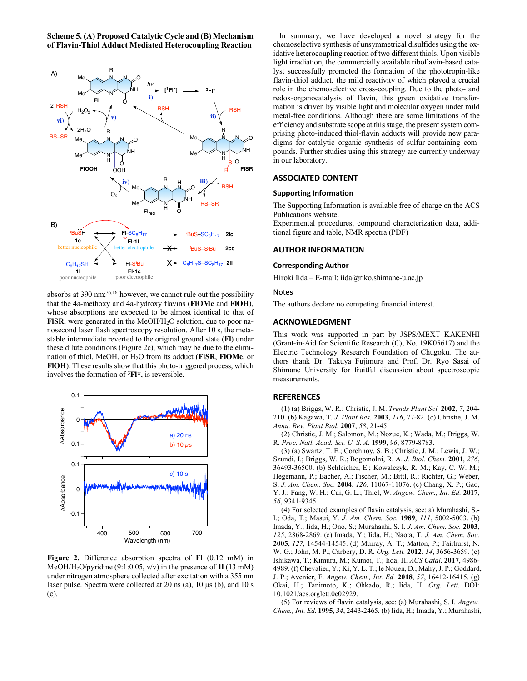**Scheme 5. (A) Proposed Catalytic Cycle and (B) Mechanism of Flavin-Thiol Adduct Mediated Heterocoupling Reaction**



absorbs at  $390 \text{ nm}$ ;  $3a,16$  however, we cannot rule out the possibility that the 4a-methoxy and 4a-hydroxy flavins (**FlOMe** and **FlOH**), whose absorptions are expected to be almost identical to that of FISR, were generated in the MeOH/H<sub>2</sub>O solution, due to poor nanosecond laser flash spectroscopy resolution. After 10 s, the metastable intermediate reverted to the original ground state (**Fl**) under these dilute conditions (Figure 2c), which may be due to the elimination of thiol, MeOH, or H2O from its adduct (**FlSR**, **FlOMe**, or **FlOH**). These results show that this photo-triggered process, which involves the formation of **3Fl\***, is reversible.



**Figure 2.** Difference absorption spectra of **Fl** (0.12 mM) in MeOH/H2O/pyridine (9:1:0.05, v/v) in the presence of **1l** (13 mM) under nitrogen atmosphere collected after excitation with a 355 nm laser pulse. Spectra were collected at 20 ns (a),  $10 \mu s$  (b), and  $10 s$ (c).

 In summary, we have developed a novel strategy for the chemoselective synthesis of unsymmetrical disulfides using the oxidative heterocoupling reaction of two different thiols. Upon visible light irradiation, the commercially available riboflavin-based catalyst successfully promoted the formation of the phototropin-like flavin-thiol adduct, the mild reactivity of which played a crucial role in the chemoselective cross-coupling. Due to the photo- and redox-organocatalysis of flavin, this green oxidative transformation is driven by visible light and molecular oxygen under mild metal-free conditions. Although there are some limitations of the efficiency and substrate scope at this stage, the present system comprising photo-induced thiol-flavin adducts will provide new paradigms for catalytic organic synthesis of sulfur-containing compounds. Further studies using this strategy are currently underway in our laboratory.

## **ASSOCIATED CONTENT**

## **Supporting Information**

The Supporting Information is available free of charge on the ACS Publications website.

Experimental procedures, compound characterization data, additional figure and table, NMR spectra (PDF)

## **AUTHOR INFORMATION**

## **Corresponding Author**

Hiroki Iida – E-mail: iida@riko.shimane-u.ac.jp

## Note**s**

The authors declare no competing financial interest.

#### **ACKNOWLEDGMENT**

This work was supported in part by JSPS/MEXT KAKENHI (Grant-in-Aid for Scientific Research (C), No. 19K05617) and the Electric Technology Research Foundation of Chugoku. The authors thank Dr. Takuya Fujimura and Prof. Dr. Ryo Sasai of Shimane University for fruitful discussion about spectroscopic measurements.

## **REFERENCES**

(1) (a) Briggs, W. R.; Christie, J. M. *Trends Plant Sci.* **2002**, *7*, 204- 210. (b) Kagawa, T. *J. Plant Res.* **2003**, *116*, 77-82. (c) Christie, J. M. *Annu. Rev. Plant Biol.* **2007**, *58*, 21-45.

(2) Christie, J. M.; Salomon, M.; Nozue, K.; Wada, M.; Briggs, W. R. *Proc. Natl. Acad. Sci. U. S. A.* **1999**, *96*, 8779-8783.

(3) (a) Swartz, T. E.; Corchnoy, S. B.; Christie, J. M.; Lewis, J. W.; Szundi, I.; Briggs, W. R.; Bogomolni, R. A. *J. Biol. Chem.* **2001**, *276*, 36493-36500. (b) Schleicher, E.; Kowalczyk, R. M.; Kay, C. W. M.; Hegemann, P.; Bacher, A.; Fischer, M.; Bittl, R.; Richter, G.; Weber, S. *J. Am. Chem. Soc.* **2004**, *126*, 11067-11076. (c) Chang, X. P.; Gao, Y. J.; Fang, W. H.; Cui, G. L.; Thiel, W. *Angew. Chem., Int. Ed.* **2017**, *56*, 9341-9345.

(4) For selected examples of flavin catalysis, see: a) Murahashi, S.- I.; Oda, T.; Masui, Y. *J. Am. Chem. Soc.* **1989**, *111*, 5002-5003. (b) Imada, Y.; Iida, H.; Ono, S.; Murahashi, S. I. *J. Am. Chem. Soc.* **2003**, *125*, 2868-2869. (c) Imada, Y.; Iida, H.; Naota, T. *J. Am. Chem. Soc.*  **2005**, *127*, 14544-14545. (d) Murray, A. T.; Matton, P.; Fairhurst, N. W. G.; John, M. P.; Carbery, D. R. *Org. Lett.* **2012**, *14*, 3656-3659. (e) Ishikawa, T.; Kimura, M.; Kumoi, T.; Iida, H. *ACS Catal.* **2017**, 4986- 4989. (f) Chevalier, Y.; Ki, Y. L. T.; le Nouen, D.; Mahy, J. P.; Goddard, J. P.; Avenier, F. *Angew. Chem., Int. Ed.* **2018**, *57*, 16412-16415. (g) Okai, H.; Tanimoto, K.; Ohkado, R.; Iida, H. *Org. Lett.* DOI: 10.1021/acs.orglett.0c02929.

(5) For reviews of flavin catalysis, see: (a) Murahashi, S. I. *Angew. Chem., Int. Ed.* **1995**, *34*, 2443-2465*.* (b) Iida, H.; Imada, Y.; Murahashi,